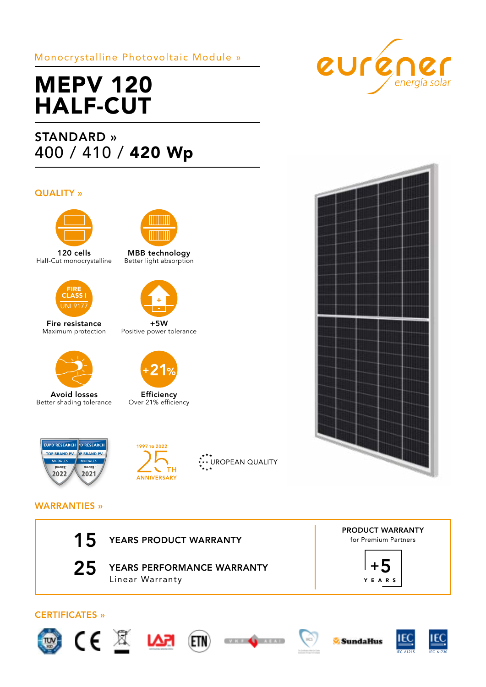## Monocrystalline Photovoltaic Module »

# MEPV 120 HALF-CUT

## STANDARD » 400 / 410 / 420 Wp

## QUALITY »



120 cells Half-Cut monocrystalline



Fire resistance Maximum protection



Avoid losses Better shading tolerance



MBB technology Better light absorption



+5W Positive power tolerance



Efficiency Over 21% efficiency











## WARRANTIES »



25 YEARS PERFORMANCE WARRANTY Linear Warranty